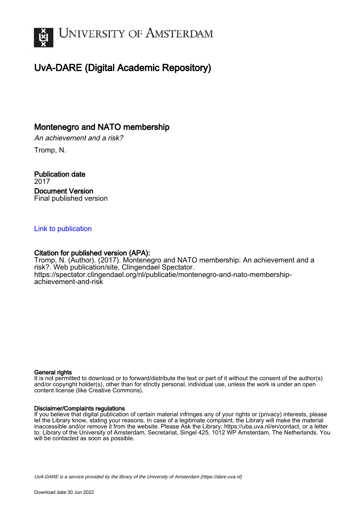

## UvA-DARE (Digital Academic Repository)

## Montenegro and NATO membership

An achievement and a risk?

Tromp, N.

Publication date 2017 Document Version Final published version

#### [Link to publication](https://dare.uva.nl/personal/pure/en/publications/montenegro-and-nato-membership(70a2f46e-8cf3-4eeb-b57c-e5b206396bdb).html)

#### Citation for published version (APA):

Tromp, N. (Author). (2017). Montenegro and NATO membership: An achievement and a risk?. Web publication/site, Clingendael Spectator. [https://spectator.clingendael.org/nl/publicatie/montenegro-and-nato-membership](https://spectator.clingendael.org/nl/publicatie/montenegro-and-nato-membership-achievement-and-risk)[achievement-and-risk](https://spectator.clingendael.org/nl/publicatie/montenegro-and-nato-membership-achievement-and-risk)

#### General rights

It is not permitted to download or to forward/distribute the text or part of it without the consent of the author(s) and/or copyright holder(s), other than for strictly personal, individual use, unless the work is under an open content license (like Creative Commons).

#### Disclaimer/Complaints regulations

If you believe that digital publication of certain material infringes any of your rights or (privacy) interests, please let the Library know, stating your reasons. In case of a legitimate complaint, the Library will make the material inaccessible and/or remove it from the website. Please Ask the Library: https://uba.uva.nl/en/contact, or a letter to: Library of the University of Amsterdam, Secretariat, Singel 425, 1012 WP Amsterdam, The Netherlands. You will be contacted as soon as possible.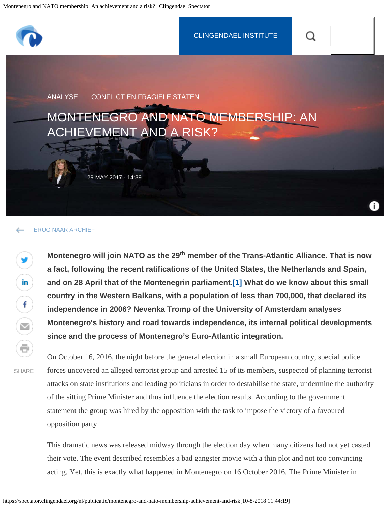<span id="page-1-1"></span>

#### [TERUG NAAR ARCHIEF](https://spectator.clingendael.org/nl/publicaties)

Montenegro will join NATO as the 29<sup>th</sup> member of the Trans-Atlantic Alliance. That is now **a fact, following the recent ratifications of the United States, the Netherlands and Spain, and on 28 April that of the Montenegrin parliament[.\[1\]](#page-11-0) What do we know about this small country in the Western Balkans, with a population of less than 700,000, that declared its independence in 2006? Nevenka Tromp of the University of Amsterdam analyses Montenegro's history and road towards independence, its internal political developments since and the process of Montenegro's Euro-Atlantic integration.**

SHARE

y

<span id="page-1-0"></span>in

 $\mathbf{f}$ 

 $\odot$ 

On October 16, 2016, the night before the general election in a small European country, special police forces uncovered an alleged terrorist group and arrested 15 of its members, suspected of planning terrorist attacks on state institutions and leading politicians in order to destabilise the state, undermine the authority of the sitting Prime Minister and thus influence the election results. According to the government statement the group was hired by the opposition with the task to impose the victory of a favoured opposition party.

This dramatic news was released midway through the election day when many citizens had not yet casted their vote. The event described resembles a bad gangster movie with a thin plot and not too convincing acting. Yet, this is exactly what happened in Montenegro on 16 October 2016. The Prime Minister in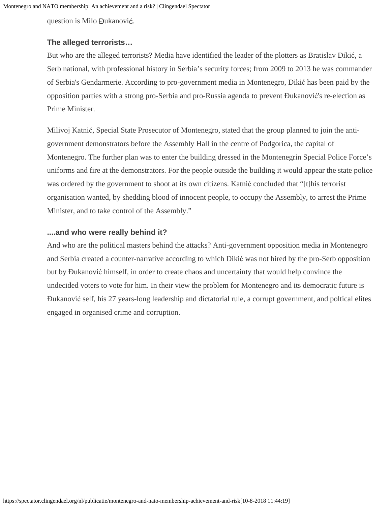question is Milo Đukanović.

### **The alleged terrorists…**

But who are the alleged terrorists? Media have identified the leader of the plotters as Bratislav Dikić, a Serb national, with professional history in Serbia's security forces; from 2009 to 2013 he was commander of Serbia's Gendarmerie. According to pro-government media in Montenegro, Dikić has been paid by the opposition parties with a strong pro-Serbia and pro-Russia agenda to prevent Đukanović's re-election as Prime Minister.

Milivoj Katnić, Special State Prosecutor of Montenegro, stated that the group planned to join the antigovernment demonstrators before the Assembly Hall in the centre of Podgorica, the capital of Montenegro. The further plan was to enter the building dressed in the Montenegrin Special Police Force's uniforms and fire at the demonstrators. For the people outside the building it would appear the state police was ordered by the government to shoot at its own citizens. Katnić concluded that "[t]his terrorist organisation wanted, by shedding blood of innocent people, to occupy the Assembly, to arrest the Prime Minister, and to take control of the Assembly."

### **....and who were really behind it?**

And who are the political masters behind the attacks? Anti-government opposition media in Montenegro and Serbia created a counter-narrative according to which Dikić was not hired by the pro-Serb opposition but by Đukanović himself, in order to create chaos and uncertainty that would help convince the undecided voters to vote for him. In their view the problem for Montenegro and its democratic future is Đukanović self, his 27 years-long leadership and dictatorial rule, a corrupt government, and poltical elites engaged in organised crime and corruption.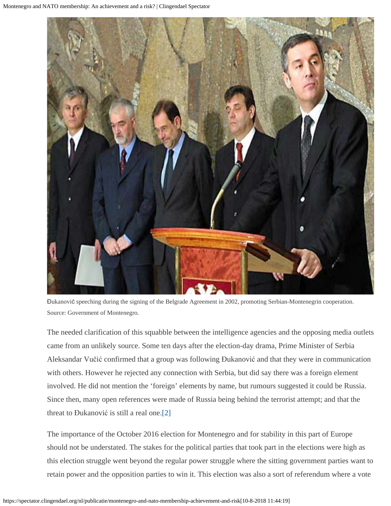

Đukanović speeching during the signing of the Belgrade Agreement in 2002, promoting Serbian-Montenegrin cooperation. Source: Government of Montenegro.

The needed clarification of this squabble between the intelligence agencies and the opposing media outlets came from an unlikely source. Some ten days after the election-day drama, Prime Minister of Serbia Aleksandar Vučić confirmed that a group was following Đukanović and that they were in communication with others. However he rejected any connection with Serbia, but did say there was a foreign element involved. He did not mention the 'foreign' elements by name, but rumours suggested it could be Russia. Since then, many open references were made of Russia being behind the terrorist attempt; and that the threat to Đukanović is still a real one[.\[2\]](#page-12-0)

<span id="page-3-0"></span>The importance of the October 2016 election for Montenegro and for stability in this part of Europe should not be understated. The stakes for the political parties that took part in the elections were high as this election struggle went beyond the regular power struggle where the sitting government parties want to retain power and the opposition parties to win it. This election was also a sort of referendum where a vote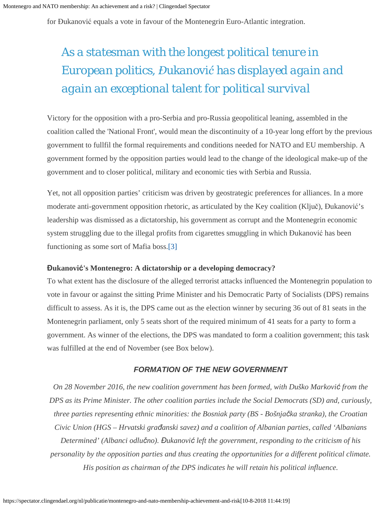for Đukanović equals a vote in favour of the Montenegrin Euro-Atlantic integration.

# *As a statesman with the longest political tenure in European politics, Đukanović has displayed again and again an exceptional talent for political survival*

Victory for the opposition with a pro-Serbia and pro-Russia geopolitical leaning, assembled in the coalition called the 'National Front', would mean the discontinuity of a 10-year long effort by the previous government to fullfil the formal requirements and conditions needed for NATO and EU membership. A government formed by the opposition parties would lead to the change of the ideological make-up of the government and to closer political, military and economic ties with Serbia and Russia.

Yet, not all opposition parties' criticism was driven by geostrategic preferences for alliances. In a more moderate anti-government opposition rhetoric, as articulated by the Key coalition (Ključ), Đukanović's leadership was dismissed as a dictatorship, his government as corrupt and the Montenegrin economic system struggling due to the illegal profits from cigarettes smuggling in which Đukanović has been functioning as some sort of Mafia boss[.\[3\]](#page-12-1)

#### <span id="page-4-0"></span>**Đukanović's Montenegro: A dictatorship or a developing democracy?**

To what extent has the disclosure of the alleged terrorist attacks influenced the Montenegrin population to vote in favour or against the sitting Prime Minister and his Democratic Party of Socialists (DPS) remains difficult to assess. As it is, the DPS came out as the election winner by securing 36 out of 81 seats in the Montenegrin parliament, only 5 seats short of the required minimum of 41 seats for a party to form a government. As winner of the elections, the DPS was mandated to form a coalition government; this task was fulfilled at the end of November (see Box below).

#### *FORMATION OF THE NEW GOVERNMENT*

*On 28 November 2016, the new coalition government has been formed, with Duško Marković from the DPS as its Prime Minister. The other coalition parties include the Social Democrats (SD) and, curiously, three parties representing ethnic minorities: the Bosniak party (BS - Bošnjačka stranka), the Croatian Civic Union (HGS – Hrvatski građanski savez) and a coalition of Albanian parties, called 'Albanians Determined' (Albanci odlučno). Đukanović left the government, responding to the criticism of his personality by the opposition parties and thus creating the opportunities for a different political climate. His position as chairman of the DPS indicates he will retain his political influence.*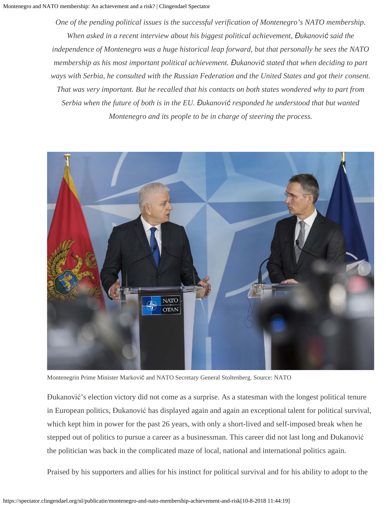*One of the pending political issues is the successful verification of Montenegro's NATO membership. When asked in a recent interview about his biggest political achievement, Đukanović said the independence of Montenegro was a huge historical leap forward, but that personally he sees the NATO membership as his most important political achievement. Đukanović stated that when deciding to part ways with Serbia, he consulted with the Russian Federation and the United States and got their consent. That was very important. But he recalled that his contacts on both states wondered why to part from Serbia when the future of both is in the EU. Đukanović responded he understood that but wanted Montenegro and its people to be in charge of steering the process.*



Montenegrin Prime Minister Marković and NATO Secretary General Stoltenberg. Source: NATO

Đukanović's election victory did not come as a surprise. As a statesman with the longest political tenure in European politics, Đukanović has displayed again and again an exceptional talent for political survival, which kept him in power for the past 26 years, with only a short-lived and self-imposed break when he stepped out of politics to pursue a career as a businessman. This career did not last long and Đukanović the politician was back in the complicated maze of local, national and international politics again.

Praised by his supporters and allies for his instinct for political survival and for his ability to adopt to the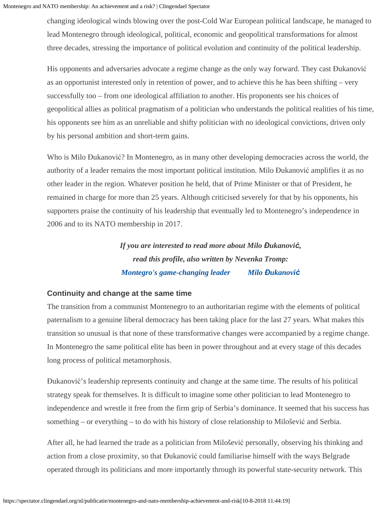changing ideological winds blowing over the post-Cold War European political landscape, he managed to lead Montenegro through ideological, political, economic and geopolitical transformations for almost three decades, stressing the importance of political evolution and continuity of the political leadership.

His opponents and adversaries advocate a regime change as the only way forward. They cast Đukanović as an opportunist interested only in retention of power, and to achieve this he has been shifting – very successfully too – from one ideological affiliation to another. His proponents see his choices of geopolitical allies as political pragmatism of a politician who understands the political realities of his time, his opponents see him as an unreliable and shifty politician with no ideological convictions, driven only by his personal ambition and short-term gains.

Who is Milo Đukanović? In Montenegro, as in many other developing democracies across the world, the authority of a leader remains the most important political institution. Milo Đukanović amplifies it as no other leader in the region. Whatever position he held, that of Prime Minister or that of President, he remained in charge for more than 25 years. Although criticised severely for that by his opponents, his supporters praise the continuity of his leadership that eventually led to Montenegro's independence in 2006 and to its NATO membership in 2017.

> *If you are interested to read more about Milo Đukanović, read this profile, also written by Nevenka Tromp: [Montegro's game-changing leader](https://www.internationalespectator.nl/article/profile-montenegros-game-changing-leader-milo-%C4%91ukanovi%C4%87) [Milo](https://www.internationalespectator.nl/article/profile-montenegros-game-changing-leader-milo-%C4%91ukanovi%C4%87) [Đ](https://www.internationalespectator.nl/article/profile-montenegros-game-changing-leader-milo-%C4%91ukanovi%C4%87)[ukanovi](https://www.internationalespectator.nl/article/profile-montenegros-game-changing-leader-milo-%C4%91ukanovi%C4%87)[ć](https://www.internationalespectator.nl/article/profile-montenegros-game-changing-leader-milo-%C4%91ukanovi%C4%87)*

### **Continuity and change at the same time**

The transition from a communist Montenegro to an authoritarian regime with the elements of political paternalism to a genuine liberal democracy has been taking place for the last 27 years. What makes this transition so unusual is that none of these transformative changes were accompanied by a regime change. In Montenegro the same political elite has been in power throughout and at every stage of this decades long process of political metamorphosis.

Đukanović's leadership represents continuity and change at the same time. The results of his political strategy speak for themselves. It is difficult to imagine some other politician to lead Montenegro to independence and wrestle it free from the firm grip of Serbia's dominance. It seemed that his success has something – or everything – to do with his history of close relationship to Milošević and Serbia.

After all, he had learned the trade as a politician from Milošević personally, observing his thinking and action from a close proximity, so that Đukanović could familiarise himself with the ways Belgrade operated through its politicians and more importantly through its powerful state-security network. This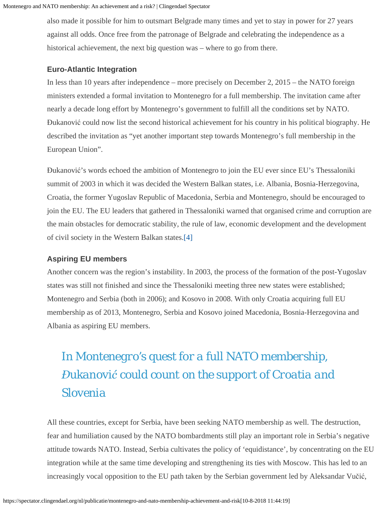also made it possible for him to outsmart Belgrade many times and yet to stay in power for 27 years against all odds. Once free from the patronage of Belgrade and celebrating the independence as a historical achievement, the next big question was – where to go from there.

#### **Euro-Atlantic Integration**

In less than 10 years after independence – more precisely on December 2, 2015 – the NATO foreign ministers extended a formal invitation to Montenegro for a full membership. The invitation came after nearly a decade long effort by Montenegro's government to fulfill all the conditions set by NATO. Đukanović could now list the second historical achievement for his country in his political biography. He described the invitation as "yet another important step towards Montenegro's full membership in the European Union".

Đukanović's words echoed the ambition of Montenegro to join the EU ever since EU's Thessaloniki summit of 2003 in which it was decided the Western Balkan states, i.e. Albania, Bosnia-Herzegovina, Croatia, the former Yugoslav Republic of Macedonia, Serbia and Montenegro, should be encouraged to join the EU. The EU leaders that gathered in Thessaloniki warned that organised crime and corruption are the main obstacles for democratic stability, the rule of law, economic development and the development of civil society in the Western Balkan states.[\[4\]](#page-12-2)

### <span id="page-7-0"></span>**Aspiring EU members**

Another concern was the region's instability. In 2003, the process of the formation of the post-Yugoslav states was still not finished and since the Thessaloniki meeting three new states were established; Montenegro and Serbia (both in 2006); and Kosovo in 2008. With only Croatia acquiring full EU membership as of 2013, Montenegro, Serbia and Kosovo joined Macedonia, Bosnia-Herzegovina and Albania as aspiring EU members.

# *In Montenegro's quest for a full NATO membership, Đukanović could count on the support of Croatia and Slovenia*

All these countries, except for Serbia, have been seeking NATO membership as well. The destruction, fear and humiliation caused by the NATO bombardments still play an important role in Serbia's negative attitude towards NATO. Instead, Serbia cultivates the policy of 'equidistance', by concentrating on the EU integration while at the same time developing and strengthening its ties with Moscow. This has led to an increasingly vocal opposition to the EU path taken by the Serbian government led by Aleksandar Vučić,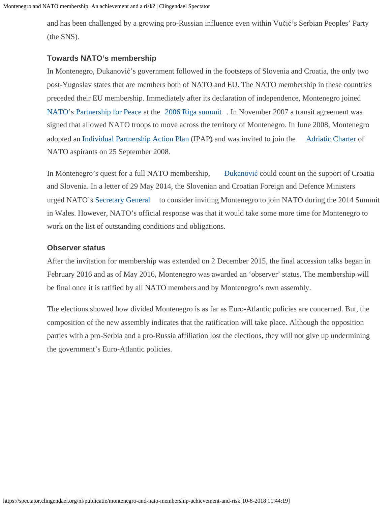and has been challenged by a growing pro-Russian influence even within Vučić's Serbian Peoples' Party (the SNS).

#### **Towards NATO's membership**

In Montenegro, Đukanović's government followed in the footsteps of Slovenia and Croatia, the only two post-Yugoslav states that are members both of NATO and EU. The NATO membership in these countries preceded their EU membership. Immediately after its declaration of independence, Montenegro joined [NATO](https://en.wikipedia.org/wiki/NATO)'s [Partnership for Peace](https://en.wikipedia.org/wiki/Partnership_for_Peace) at the [2006 Riga summit](https://en.wikipedia.org/wiki/2006_Riga_summit) . In November 2007 a transit agreement was signed that allowed NATO troops to move across the territory of Montenegro. In June 2008, Montenegro adopted an [Individual Partnership Action Plan](https://en.wikipedia.org/wiki/Individual_Partnership_Action_Plan) (IPAP) and was invited to join the [Adriatic Charter](https://en.wikipedia.org/wiki/Adriatic_Charter) of NATO aspirants on 25 September 2008.

In Montenegro's quest for a full NATO membership, [Đ](https://en.wikipedia.org/wiki/Milo_%C4%90ukanovi%C4%87)[ukanovi](https://en.wikipedia.org/wiki/Milo_%C4%90ukanovi%C4%87)[ć](https://en.wikipedia.org/wiki/Milo_%C4%90ukanovi%C4%87) could count on the support of Croatia and Slovenia. In a letter of 29 May 2014, the Slovenian and Croatian Foreign and Defence Ministers urged NATO's [Secretary General](https://en.wikipedia.org/wiki/Secretary_General_of_NATO) to consider inviting Montenegro to join NATO during the 2014 Summit in Wales. However, NATO's official response was that it would take some more time for Montenegro to work on the list of outstanding conditions and obligations.

#### **Observer status**

After the invitation for membership was extended on 2 December 2015, the final accession talks began in February 2016 and as of May 2016, Montenegro was awarded an 'observer' status. The membership will be final once it is ratified by all NATO members and by Montenegro's own assembly.

The elections showed how divided Montenegro is as far as Euro-Atlantic policies are concerned. But, the composition of the new assembly indicates that the ratification will take place. Although the opposition parties with a pro-Serbia and a pro-Russia affiliation lost the elections, they will not give up undermining the government's Euro-Atlantic policies.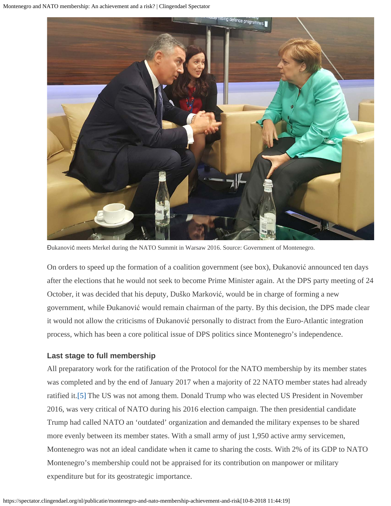

Đukanović meets Merkel during the NATO Summit in Warsaw 2016. Source: Government of Montenegro.

On orders to speed up the formation of a coalition government (see box), Đukanović announced ten days after the elections that he would not seek to become Prime Minister again. At the DPS party meeting of 24 October, it was decided that his deputy, Duško Marković, would be in charge of forming a new government, while Đukanović would remain chairman of the party. By this decision, the DPS made clear it would not allow the criticisms of Đukanović personally to distract from the Euro-Atlantic integration process, which has been a core political issue of DPS politics since Montenegro's independence.

### **Last stage to full membership**

<span id="page-9-0"></span>All preparatory work for the ratification of the Protocol for the NATO membership by its member states was completed and by the end of January 2017 when a majority of 22 NATO member states had already ratified it[.\[5\]](#page-12-3) The US was not among them. Donald Trump who was elected US President in November 2016, was very critical of NATO during his 2016 election campaign. The then presidential candidate Trump had called NATO an 'outdated' organization and demanded the military expenses to be shared more evenly between its member states. With a small army of just 1,950 active army servicemen, Montenegro was not an ideal candidate when it came to sharing the costs. With 2% of its GDP to NATO Montenegro's membership could not be appraised for its contribution on manpower or military expenditure but for its geostrategic importance.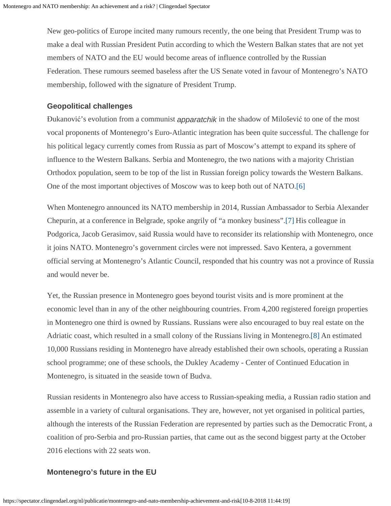New geo-politics of Europe incited many rumours recently, the one being that President Trump was to make a deal with Russian President Putin according to which the Western Balkan states that are not yet members of NATO and the EU would become areas of influence controlled by the Russian Federation. These rumours seemed baseless after the US Senate voted in favour of Montenegro's NATO membership, followed with the signature of President Trump.

#### **Geopolitical challenges**

Đukanović's evolution from a communist *apparatchik* in the shadow of Milošević to one of the most vocal proponents of Montenegro's Euro-Atlantic integration has been quite successful. The challenge for his political legacy currently comes from Russia as part of Moscow's attempt to expand its sphere of influence to the Western Balkans. Serbia and Montenegro, the two nations with a majority Christian Orthodox population, seem to be top of the list in Russian foreign policy towards the Western Balkans. One of the most important objectives of Moscow was to keep both out of NATO[.\[6\]](#page-12-4)

<span id="page-10-1"></span><span id="page-10-0"></span>When Montenegro announced its NATO membership in 2014, Russian Ambassador to Serbia Alexander Chepurin, at a conference in Belgrade, spoke angrily of "a monkey business".[\[7\]](#page-12-5) His colleague in Podgorica, Jacob Gerasimov, said Russia would have to reconsider its relationship with Montenegro, once it joins NATO. Montenegro's government circles were not impressed. Savo Kentera, a government official serving at Montenegro's Atlantic Council, responded that his country was not a province of Russia and would never be.

<span id="page-10-2"></span>Yet, the Russian presence in Montenegro goes beyond tourist visits and is more prominent at the economic level than in any of the other neighbouring countries. From 4,200 registered foreign properties in Montenegro one third is owned by Russians. Russians were also encouraged to buy real estate on the Adriatic coast, which resulted in a small colony of the Russians living in Montenegro[.\[8\]](#page-12-6) An estimated 10,000 Russians residing in Montenegro have already established their own schools, operating a Russian school programme; one of these schools, the Dukley Academy - Center of Continued Education in Montenegro, is situated in the seaside town of Budva.

Russian residents in Montenegro also have access to Russian-speaking media, a Russian radio station and assemble in a variety of cultural organisations. They are, however, not yet organised in political parties, although the interests of the Russian Federation are represented by parties such as the Democratic Front, a coalition of pro-Serbia and pro-Russian parties, that came out as the second biggest party at the October 2016 elections with 22 seats won.

### **Montenegro's future in the EU**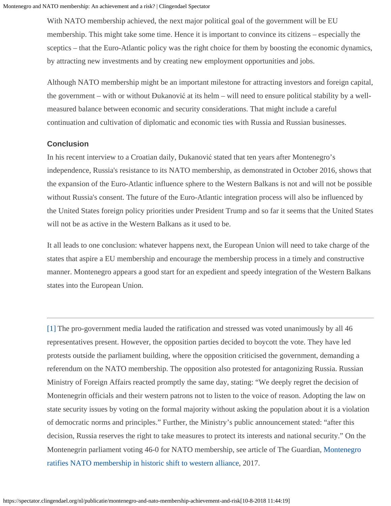With NATO membership achieved, the next major political goal of the government will be EU membership. This might take some time. Hence it is important to convince its citizens – especially the sceptics – that the Euro-Atlantic policy was the right choice for them by boosting the economic dynamics, by attracting new investments and by creating new employment opportunities and jobs.

Although NATO membership might be an important milestone for attracting investors and foreign capital, the government – with or without Đukanović at its helm – will need to ensure political stability by a wellmeasured balance between economic and security considerations. That might include a careful continuation and cultivation of diplomatic and economic ties with Russia and Russian businesses.

#### **Conclusion**

In his recent interview to a Croatian daily, Đukanović stated that ten years after Montenegro's independence, Russia's resistance to its NATO membership, as demonstrated in October 2016, shows that the expansion of the Euro-Atlantic influence sphere to the Western Balkans is not and will not be possible without Russia's consent. The future of the Euro-Atlantic integration process will also be influenced by the United States foreign policy priorities under President Trump and so far it seems that the United States will not be as active in the Western Balkans as it used to be.

It all leads to one conclusion: whatever happens next, the European Union will need to take charge of the states that aspire a EU membership and encourage the membership process in a timely and constructive manner. Montenegro appears a good start for an expedient and speedy integration of the Western Balkans states into the European Union.

<span id="page-11-0"></span>[\[1\]](#page-1-0) The pro-government media lauded the ratification and stressed was voted unanimously by all 46 representatives present. However, the opposition parties decided to boycott the vote. They have led protests outside the parliament building, where the opposition criticised the government, demanding a referendum on the NATO membership. The opposition also protested for antagonizing Russia. Russian Ministry of Foreign Affairs reacted promptly the same day, stating: "We deeply regret the decision of Montenegrin officials and their western patrons not to listen to the voice of reason. Adopting the law on state security issues by voting on the formal majority without asking the population about it is a violation of democratic norms and principles." Further, the Ministry's public announcement stated: "after this decision, Russia reserves the right to take measures to protect its interests and national security." On the Montenegrin parliament voting 46-0 for NATO membership, see article of The Guardian, [Montenegro](https://www.theguardian.com/world/2017/apr/28/montenegro-ratifies-nato-membership-in-historic-shift-to-western-alliance) [ratifies NATO membership in historic shift to western alliance](https://www.theguardian.com/world/2017/apr/28/montenegro-ratifies-nato-membership-in-historic-shift-to-western-alliance), 2017.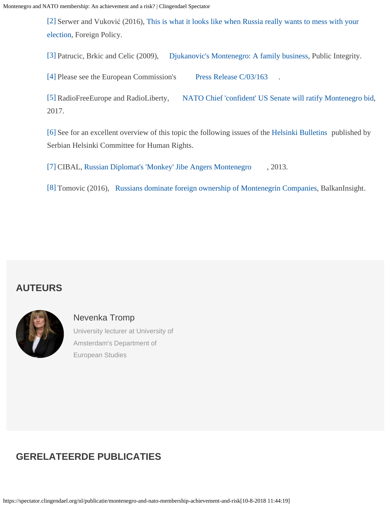<span id="page-12-0"></span>[\[2\]](#page-3-0) Serwer and Vuković (2016), [This is what it looks like when Russia really wants to mess with your](http://foreignpolicy.com/2016/11/08/this-is-what-it-looks-like-when-russia-really-wants-to-mess-with-your-election/) [election,](http://foreignpolicy.com/2016/11/08/this-is-what-it-looks-like-when-russia-really-wants-to-mess-with-your-election/) Foreign Policy.

<span id="page-12-1"></span>[\[3\]](#page-4-0) Patrucic, Brkic and Celic (2009), [Djukanovic's Montenegro: A family business](https://www.publicintegrity.org/2009/06/02/6349/djukanovic-s-montenegro-family-business), Public Integrity.

<span id="page-12-2"></span>[\[4\]](#page-7-0) Please see the European Commission's [Press Release C/03/163](http://europa.eu/rapid/press-release_PRES-03-163_en.htm)

<span id="page-12-3"></span>[\[5\]](#page-9-0) RadioFreeEurope and RadioLiberty, [NATO Chief 'confident' US Senate will ratify Montenegro bid](https://www.rferl.org/a/nato-montenegro-stoltenberg-confident-u-s-ratification/28261592.html), 2017.

<span id="page-12-4"></span>[\[6\]](#page-10-0) See for an excellent overview of this topic the following issues of the [Helsinki Bulletins](http://www.helsinki.org.rs/doc/HB-No123.pdf; http://www.helsinki.org.rs/doc/HB-No124.pdf) published by Serbian Helsinki Committee for Human Rights.

<span id="page-12-5"></span>[\[7\]](#page-10-1) CIBAL, [Russian Diplomat's 'Monkey' Jibe Angers Montenegro](http://www.cibal.eu/digital-library/8-security/1466-russian-diplomat-s-monkey-jibe-angers-montenegro) , 2013.

<span id="page-12-6"></span>[\[8\]](#page-10-2) Tomovic (2016), [Russians dominate foreign ownership of Montenegrin Companies](http://www.balkaninsight.com/en/article/russians-own-every-third-company-in-montenegro-report-08-17-2016), BalkanInsight.

## **AUTEURS**



[Nevenka Tromp](https://spectator.clingendael.org/nl/auteur/nevenka-tromp) University lecturer at University of Amsterdam's Department of European Studies

## **GERELATEERDE PUBLICATIES**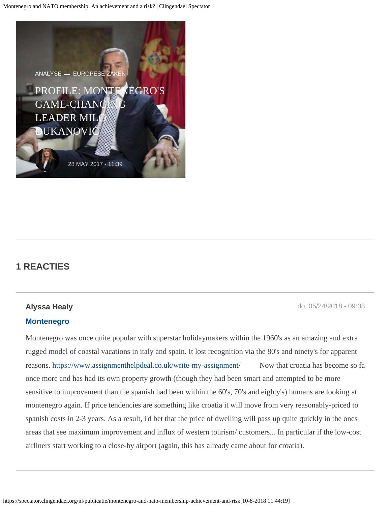

## **1 REACTIES**

### **Alyssa Healy** do, 05/24/2018 - 09:38

#### **[Montenegro](https://spectator.clingendael.org/nl/comment/428#comment-428)**

Montenegro was once quite popular with superstar holidaymakers within the 1960's as an amazing and extra rugged model of coastal vacations in italy and spain. It lost recognition via the 80's and ninety's for apparent reasons.<https://www.assignmenthelpdeal.co.uk/write-my-assignment/> Now that croatia has become so fa once more and has had its own property growth (though they had been smart and attempted to be more sensitive to improvement than the spanish had been within the 60's, 70's and eighty's) humans are looking at montenegro again. If price tendencies are something like croatia it will move from very reasonably-priced to spanish costs in 2-3 years. As a result, i'd bet that the price of dwelling will pass up quite quickly in the ones areas that see maximum improvement and influx of western tourism/ customers... In particular if the low-cost airliners start working to a close-by airport (again, this has already came about for croatia).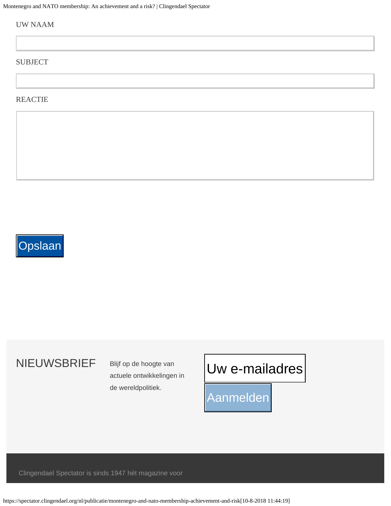Montenegro and NATO membership: An achievement and a risk? | Clingendael Spectator

#### UW NAAM

#### SUBJECT

#### **REACTIE**

# **Opslaan**

# NIEUWSBRIEF Blijf op de hoogte van

actuele ontwikkelingen in de wereldpolitiek.

# Uw e-mailadres Uw e-mailadres

Aanmelden

Clingendael Spectator is sinds 1947 hét magazine voor